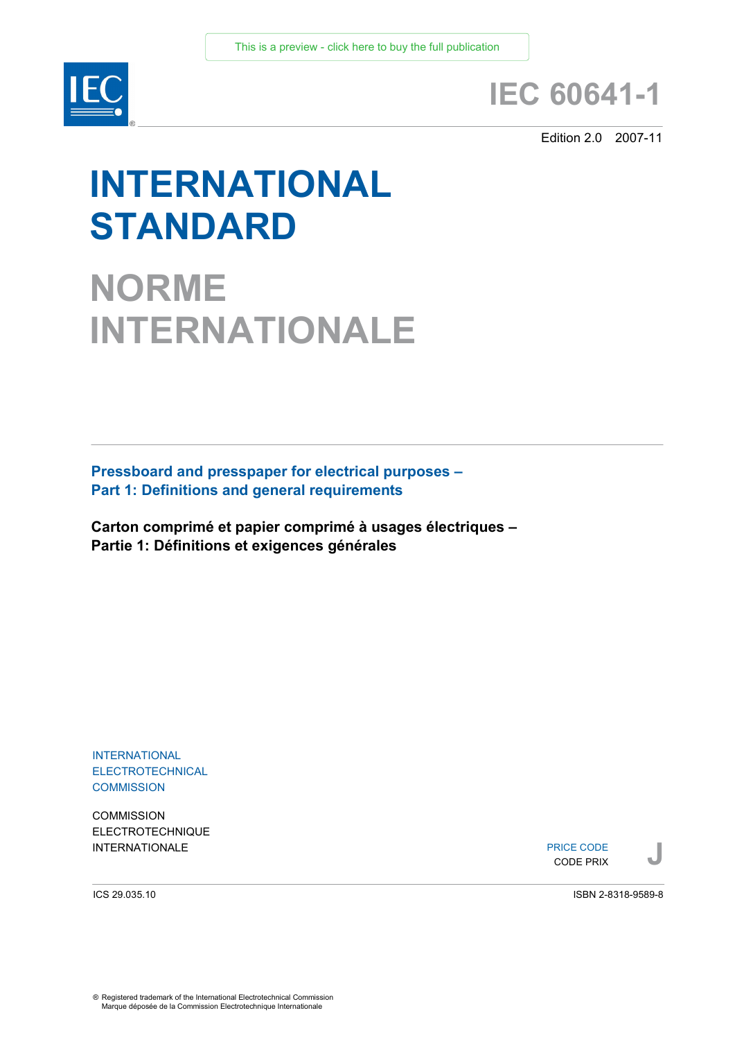

# **IEC 60641-1**

Edition 2.0 2007-11

# **INTERNATIONAL STANDARD**

**NORME INTERNATIONALE**

**Pressboard and presspaper for electrical purposes – Part 1: Definitions and general requirements** 

**Carton comprimé et papier comprimé à usages électriques – Partie 1: Définitions et exigences générales** 

INTERNATIONAL ELECTROTECHNICAL **COMMISSION** 

**COMMISSION** ELECTROTECHNIQUE

INTERNATIONALE PRICE CODE PRICE CODE PRICE CODE PRICE CODE PRIX PRICE CODE CODE PRIX

ICS 29.035.10

ISBN 2-8318-9589-8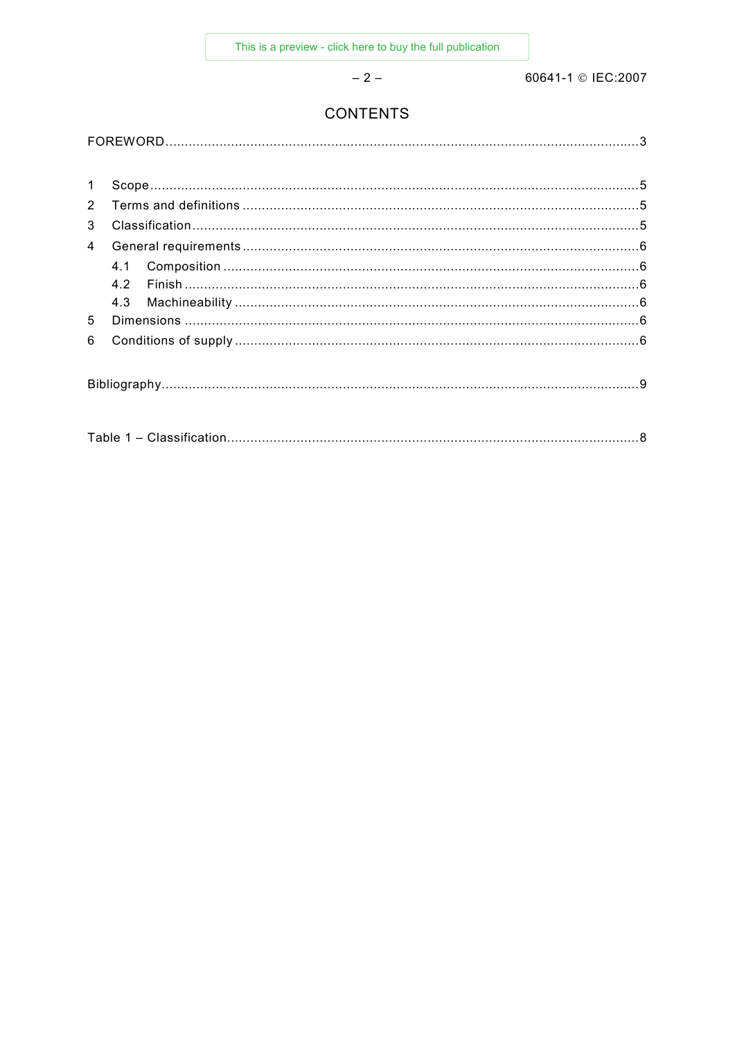$-2-$ 

60641-1 © IEC:2007

# **CONTENTS**

| $\mathbf 1$   |     |  |  |  |
|---------------|-----|--|--|--|
| $\mathcal{P}$ |     |  |  |  |
| 3             |     |  |  |  |
| 4             |     |  |  |  |
|               | 4.1 |  |  |  |
|               | 4.2 |  |  |  |
|               | 4.3 |  |  |  |
| 5             |     |  |  |  |
| 6             |     |  |  |  |
|               |     |  |  |  |
|               |     |  |  |  |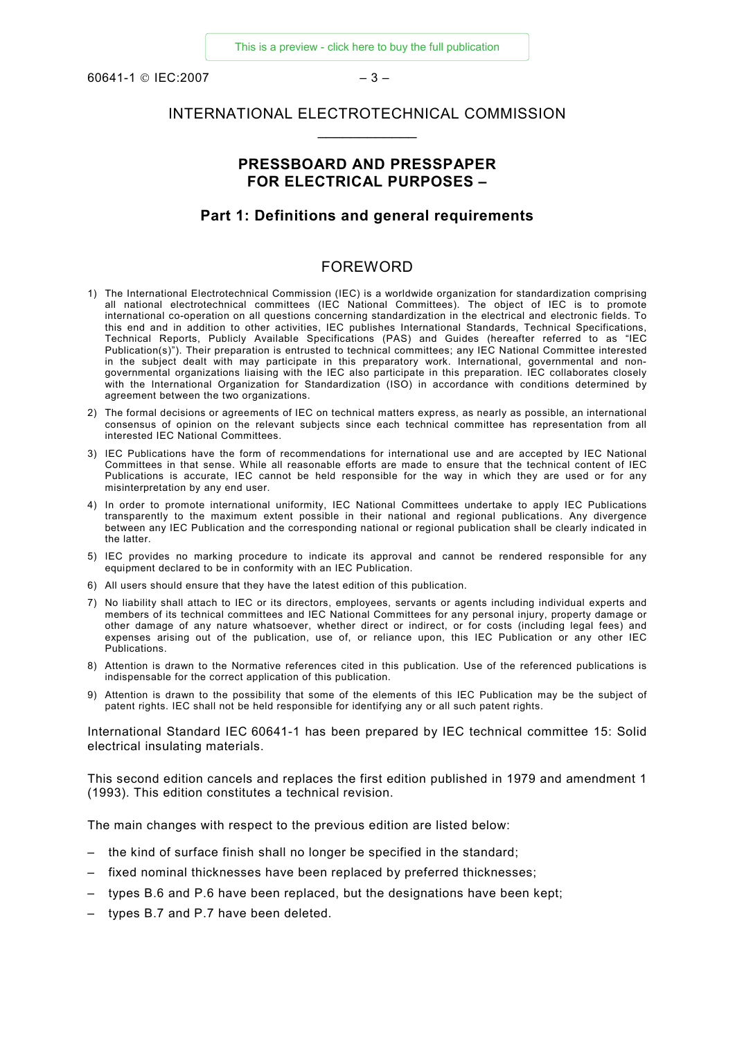<span id="page-2-0"></span> $60641-1$  © IFC: 2007 – 3 –

#### INTERNATIONAL ELECTROTECHNICAL COMMISSION  $\frac{1}{2}$  ,  $\frac{1}{2}$  ,  $\frac{1}{2}$  ,  $\frac{1}{2}$  ,  $\frac{1}{2}$  ,  $\frac{1}{2}$

#### **PRESSBOARD AND PRESSPAPER FOR ELECTRICAL PURPOSES –**

#### **Part 1: Definitions and general requirements**

#### FOREWORD

- 1) The International Electrotechnical Commission (IEC) is a worldwide organization for standardization comprising all national electrotechnical committees (IEC National Committees). The object of IEC is to promote international co-operation on all questions concerning standardization in the electrical and electronic fields. To this end and in addition to other activities, IEC publishes International Standards, Technical Specifications, Technical Reports, Publicly Available Specifications (PAS) and Guides (hereafter referred to as "IEC Publication(s)"). Their preparation is entrusted to technical committees; any IEC National Committee interested in the subject dealt with may participate in this preparatory work. International, governmental and nongovernmental organizations liaising with the IEC also participate in this preparation. IEC collaborates closely with the International Organization for Standardization (ISO) in accordance with conditions determined by agreement between the two organizations.
- 2) The formal decisions or agreements of IEC on technical matters express, as nearly as possible, an international consensus of opinion on the relevant subjects since each technical committee has representation from all interested IEC National Committees.
- 3) IEC Publications have the form of recommendations for international use and are accepted by IEC National Committees in that sense. While all reasonable efforts are made to ensure that the technical content of IEC Publications is accurate, IEC cannot be held responsible for the way in which they are used or for any misinterpretation by any end user.
- 4) In order to promote international uniformity, IEC National Committees undertake to apply IEC Publications transparently to the maximum extent possible in their national and regional publications. Any divergence between any IEC Publication and the corresponding national or regional publication shall be clearly indicated in the latter.
- 5) IEC provides no marking procedure to indicate its approval and cannot be rendered responsible for any equipment declared to be in conformity with an IEC Publication.
- 6) All users should ensure that they have the latest edition of this publication.
- 7) No liability shall attach to IEC or its directors, employees, servants or agents including individual experts and members of its technical committees and IEC National Committees for any personal injury, property damage or other damage of any nature whatsoever, whether direct or indirect, or for costs (including legal fees) and expenses arising out of the publication, use of, or reliance upon, this IEC Publication or any other IEC Publications.
- 8) Attention is drawn to the Normative references cited in this publication. Use of the referenced publications is indispensable for the correct application of this publication.
- 9) Attention is drawn to the possibility that some of the elements of this IEC Publication may be the subject of patent rights. IEC shall not be held responsible for identifying any or all such patent rights.

International Standard IEC 60641-1 has been prepared by IEC technical committee 15: Solid electrical insulating materials.

This second edition cancels and replaces the first edition published in 1979 and amendment 1 (1993). This edition constitutes a technical revision.

The main changes with respect to the previous edition are listed below:

- the kind of surface finish shall no longer be specified in the standard;
- fixed nominal thicknesses have been replaced by preferred thicknesses;
- types B.6 and P.6 have been replaced, but the designations have been kept;
- types B.7 and P.7 have been deleted.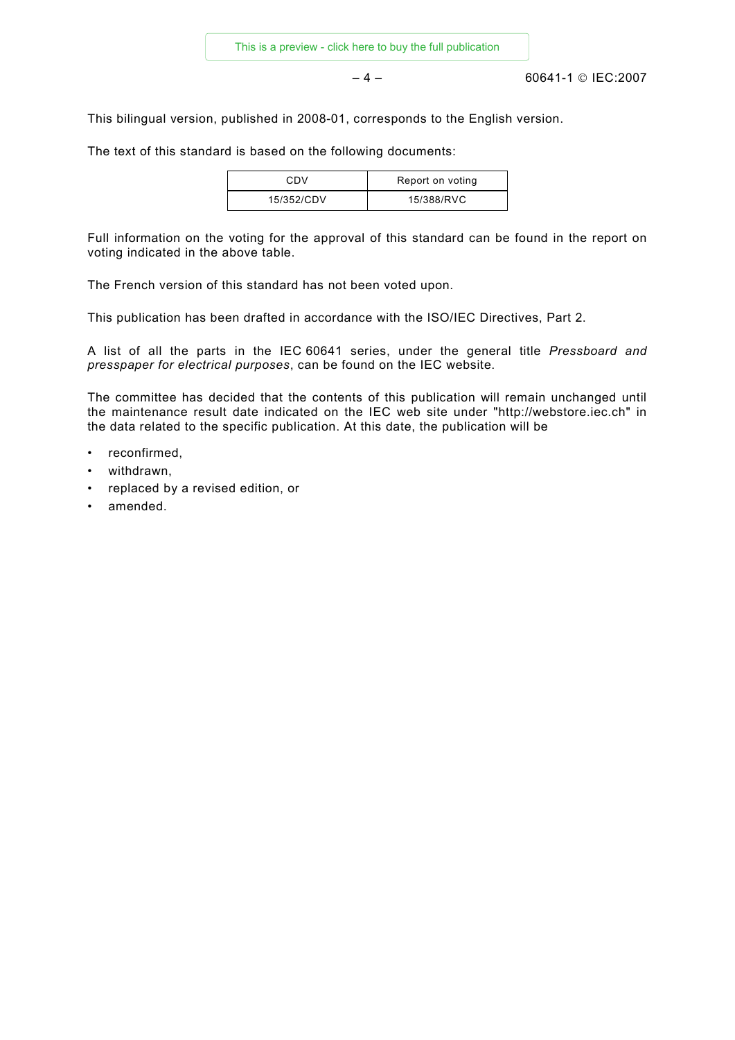– 4 – 60641-1 © IEC:2007

This bilingual version, published in 2008-01, corresponds to the English version.

The text of this standard is based on the following documents:

| CDV        | Report on voting |
|------------|------------------|
| 15/352/CDV | 15/388/RVC       |

Full information on the voting for the approval of this standard can be found in the report on voting indicated in the above table.

The French version of this standard has not been voted upon.

This publication has been drafted in accordance with the ISO/IEC Directives, Part 2.

A list of all the parts in the IEC 60641 series, under the general title *Pressboard and presspaper for electrical purposes*, can be found on the IEC website.

The committee has decided that the contents of this publication will remain unchanged until the maintenance result date indicated on the IEC web site under "http://webstore.iec.ch" in the data related to the specific publication. At this date, the publication will be

- reconfirmed,
- withdrawn,
- replaced by a revised edition, or
- amended.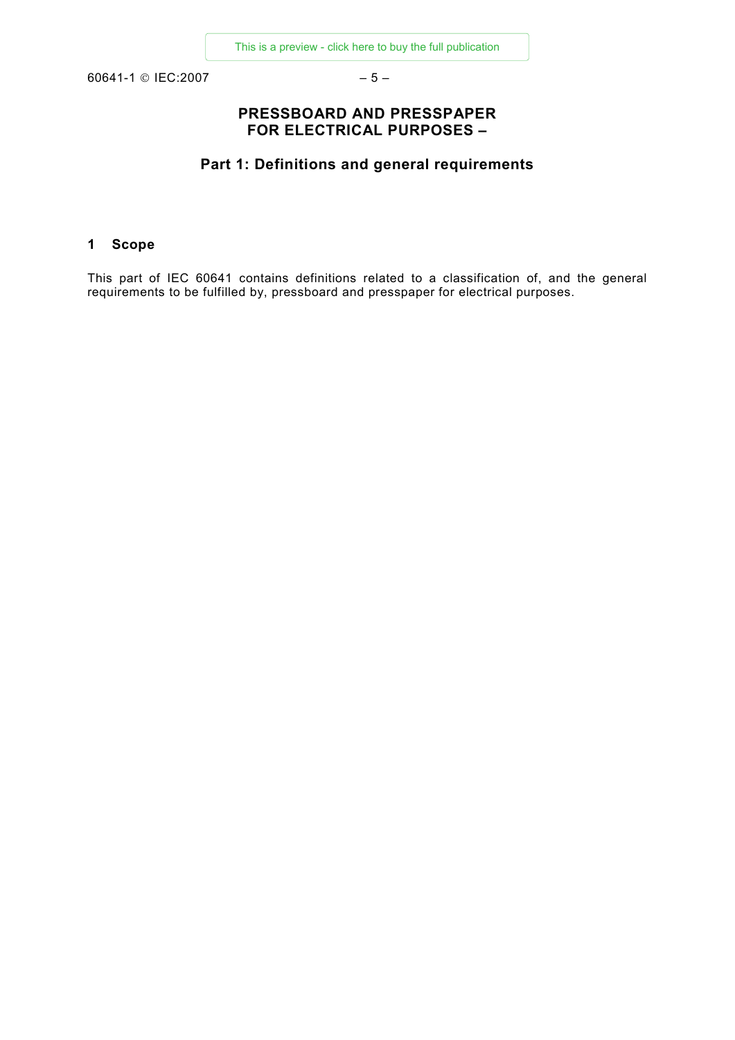<span id="page-4-0"></span>60641-1 © IEC:2007 – 5 –

# **PRESSBOARD AND PRESSPAPER FOR ELECTRICAL PURPOSES –**

## **Part 1: Definitions and general requirements**

#### **1 Scope**

This part of IEC 60641 contains definitions related to a classification of, and the general requirements to be fulfilled by, pressboard and presspaper for electrical purposes.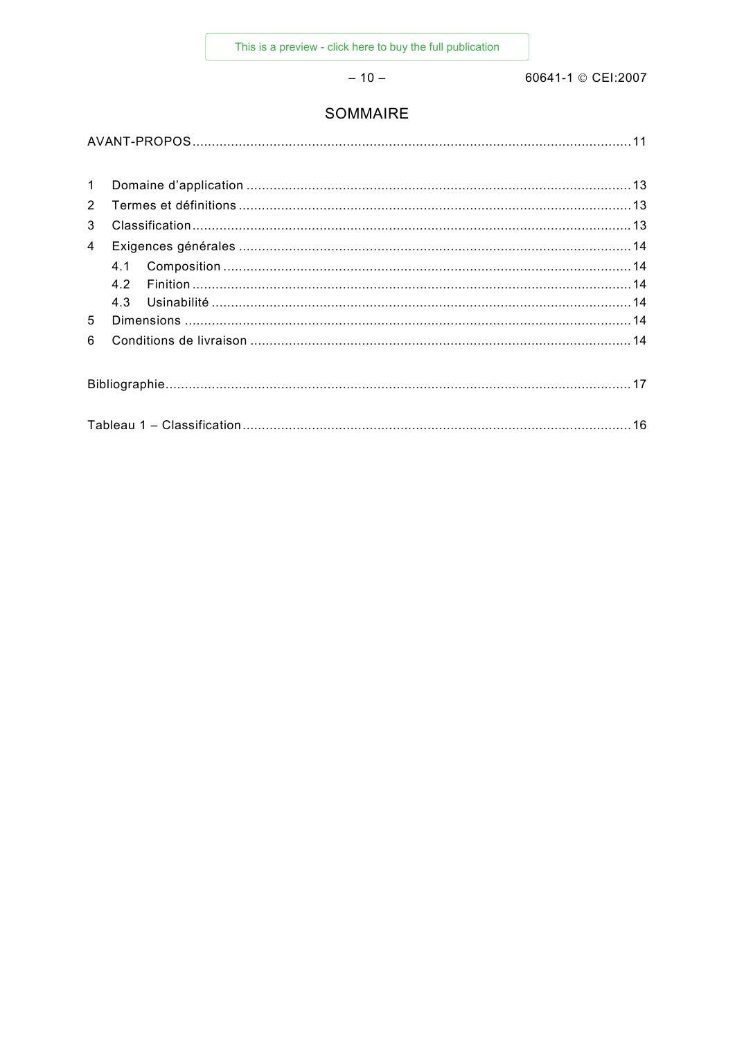$-10-$ 

60641-1 © CEI:2007

# SOMMAIRE

|--|

| $\overline{2}$ |     |  |
|----------------|-----|--|
| 3              |     |  |
| $\overline{4}$ |     |  |
|                | 4.1 |  |
|                | 4.2 |  |
|                | 4 3 |  |
| $5^{\circ}$    |     |  |
| 6              |     |  |
|                |     |  |
|                |     |  |
|                |     |  |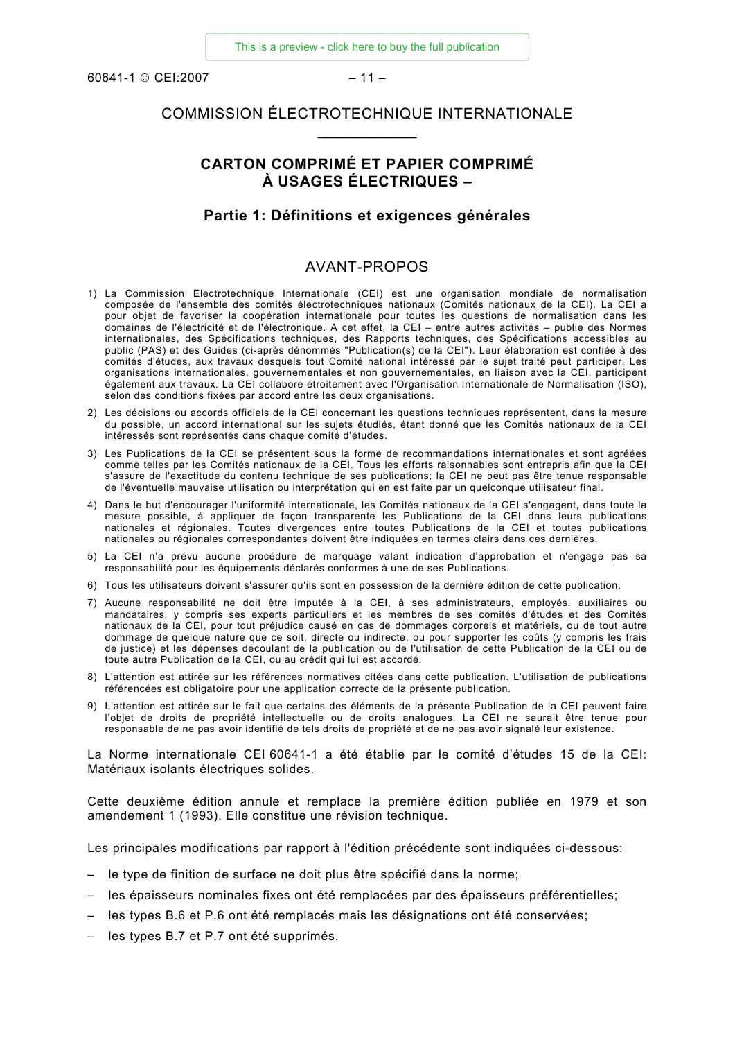<span id="page-6-0"></span>60641-1 © CEI:2007 – 11

#### COMMISSION ÉLECTROTECHNIQUE INTERNATIONALE  $\frac{1}{2}$  ,  $\frac{1}{2}$  ,  $\frac{1}{2}$  ,  $\frac{1}{2}$  ,  $\frac{1}{2}$  ,  $\frac{1}{2}$

### **CARTON COMPRIMÉ ET PAPIER COMPRIMÉ À USAGES ÉLECTRIQUES –**

#### **Partie 1: Définitions et exigences générales**

#### AVANT-PROPOS

- 1) La Commission Electrotechnique Internationale (CEI) est une organisation mondiale de normalisation composée de l'ensemble des comités électrotechniques nationaux (Comités nationaux de la CEI). La CEI a pour objet de favoriser la coopération internationale pour toutes les questions de normalisation dans les domaines de l'électricité et de l'électronique. A cet effet, la CEI – entre autres activités – publie des Normes internationales, des Spécifications techniques, des Rapports techniques, des Spécifications accessibles au public (PAS) et des Guides (ci-après dénommés "Publication(s) de la CEI"). Leur élaboration est confiée à des comités d'études, aux travaux desquels tout Comité national intéressé par le sujet traité peut participer. Les organisations internationales, gouvernementales et non gouvernementales, en liaison avec la CEI, participent également aux travaux. La CEI collabore étroitement avec l'Organisation Internationale de Normalisation (ISO), selon des conditions fixées par accord entre les deux organisations.
- 2) Les décisions ou accords officiels de la CEI concernant les questions techniques représentent, dans la mesure du possible, un accord international sur les sujets étudiés, étant donné que les Comités nationaux de la CEI intéressés sont représentés dans chaque comité d'études.
- 3) Les Publications de la CEI se présentent sous la forme de recommandations internationales et sont agréées comme telles par les Comités nationaux de la CEI. Tous les efforts raisonnables sont entrepris afin que la CEI s'assure de l'exactitude du contenu technique de ses publications; la CEI ne peut pas être tenue responsable de l'éventuelle mauvaise utilisation ou interprétation qui en est faite par un quelconque utilisateur final.
- 4) Dans le but d'encourager l'uniformité internationale, les Comités nationaux de la CEI s'engagent, dans toute la mesure possible, à appliquer de façon transparente les Publications de la CEI dans leurs publications nationales et régionales. Toutes divergences entre toutes Publications de la CEI et toutes publications nationales ou régionales correspondantes doivent être indiquées en termes clairs dans ces dernières.
- 5) La CEI n'a prévu aucune procédure de marquage valant indication d'approbation et n'engage pas sa responsabilité pour les équipements déclarés conformes à une de ses Publications.
- 6) Tous les utilisateurs doivent s'assurer qu'ils sont en possession de la dernière édition de cette publication.
- 7) Aucune responsabilité ne doit être imputée à la CEI, à ses administrateurs, employés, auxiliaires ou mandataires, y compris ses experts particuliers et les membres de ses comités d'études et des Comités nationaux de la CEI, pour tout préjudice causé en cas de dommages corporels et matériels, ou de tout autre dommage de quelque nature que ce soit, directe ou indirecte, ou pour supporter les coûts (y compris les frais de justice) et les dépenses découlant de la publication ou de l'utilisation de cette Publication de la CEI ou de toute autre Publication de la CEI, ou au crédit qui lui est accordé.
- 8) L'attention est attirée sur les références normatives citées dans cette publication. L'utilisation de publications référencées est obligatoire pour une application correcte de la présente publication.
- 9) L'attention est attirée sur le fait que certains des éléments de la présente Publication de la CEI peuvent faire l'objet de droits de propriété intellectuelle ou de droits analogues. La CEI ne saurait être tenue pour responsable de ne pas avoir identifié de tels droits de propriété et de ne pas avoir signalé leur existence.

La Norme internationale CEI 60641-1 a été établie par le comité d'études 15 de la CEI: Matériaux isolants électriques solides.

Cette deuxième édition annule et remplace la première édition publiée en 1979 et son amendement 1 (1993). Elle constitue une révision technique.

Les principales modifications par rapport à l'édition précédente sont indiquées ci-dessous:

- le type de finition de surface ne doit plus être spécifié dans la norme;
- les épaisseurs nominales fixes ont été remplacées par des épaisseurs préférentielles;
- les types B.6 et P.6 ont été remplacés mais les désignations ont été conservées;
- les types B.7 et P.7 ont été supprimés.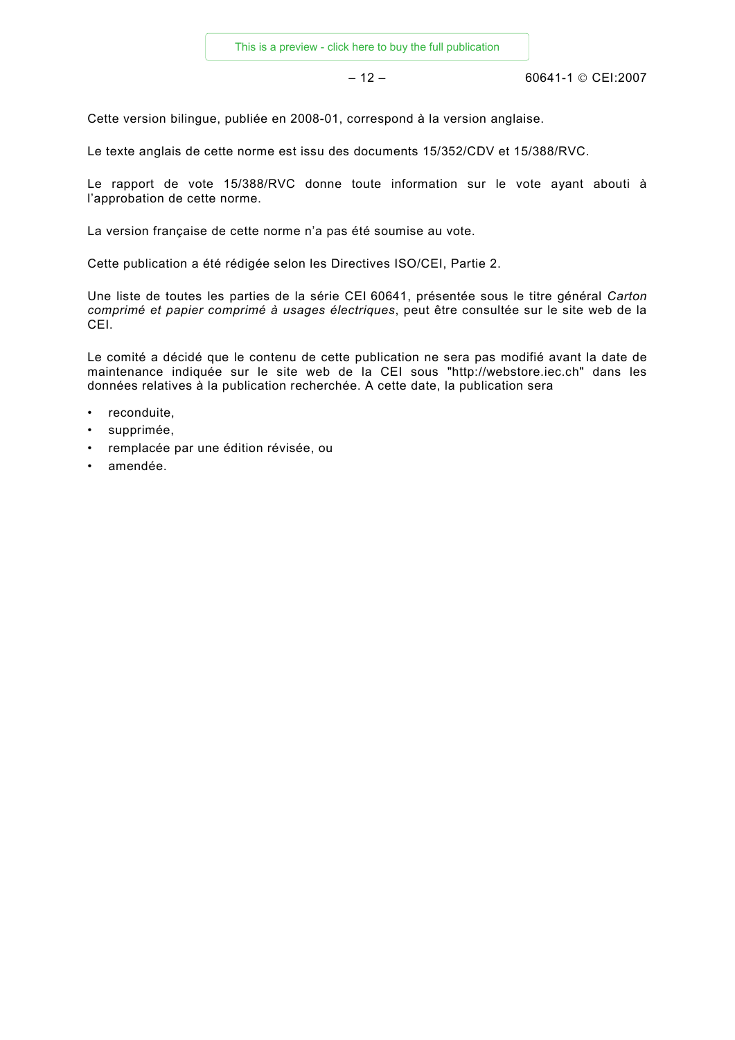Cette version bilingue, publiée en 2008-01, correspond à la version anglaise.

Le texte anglais de cette norme est issu des documents 15/352/CDV et 15/388/RVC.

Le rapport de vote 15/388/RVC donne toute information sur le vote ayant abouti à l'approbation de cette norme.

La version française de cette norme n'a pas été soumise au vote.

Cette publication a été rédigée selon les Directives ISO/CEI, Partie 2.

Une liste de toutes les parties de la série CEI 60641, présentée sous le titre général *Carton comprimé et papier comprimé à usages électriques*, peut être consultée sur le site web de la CEI.

Le comité a décidé que le contenu de cette publication ne sera pas modifié avant la date de maintenance indiquée sur le site web de la CEI sous "http://webstore.iec.ch" dans les données relatives à la publication recherchée. A cette date, la publication sera

- reconduite,
- supprimée,
- remplacée par une édition révisée, ou
- amendée.